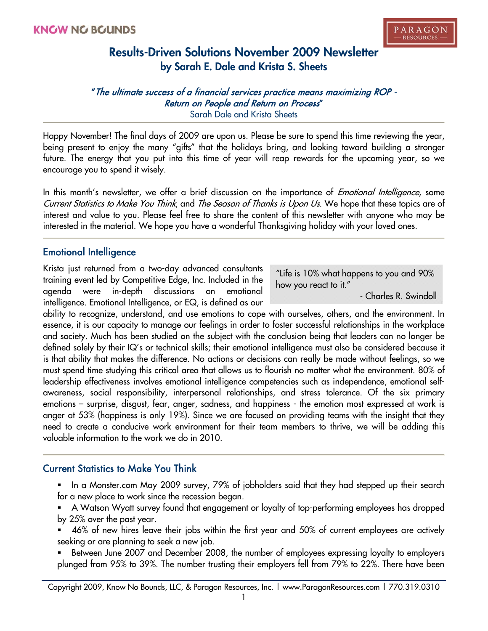"The ultimate success of a financial services practice means maximizing ROP - Return on People and Return on Process" Sarah Dale and Krista Sheets

Happy November! The final days of 2009 are upon us. Please be sure to spend this time reviewing the year, being present to enjoy the many "gifts" that the holidays bring, and looking toward building a stronger future. The energy that you put into this time of year will reap rewards for the upcoming year, so we encourage you to spend it wisely.

In this month's newsletter, we offer a brief discussion on the importance of *Emotional Intelligence*, some Current Statistics to Make You Think, and The Season of Thanks is Upon Us. We hope that these topics are of interest and value to you. Please feel free to share the content of this newsletter with anyone who may be interested in the material. We hope you have a wonderful Thanksgiving holiday with your loved ones.

### Emotional Intelligence

Krista just returned from a two-day advanced consultants training event led by Competitive Edge, Inc. Included in the agenda were in-depth discussions on emotional intelligence. Emotional Intelligence, or EQ, is defined as our

"Life is 10% what happens to you and 90% how you react to it."

- Charles R. Swindoll

ability to recognize, understand, and use emotions to cope with ourselves, others, and the environment. In essence, it is our capacity to manage our feelings in order to foster successful relationships in the workplace and society. Much has been studied on the subject with the conclusion being that leaders can no longer be defined solely by their IQ's or technical skills; their emotional intelligence must also be considered because it is that ability that makes the difference. No actions or decisions can really be made without feelings, so we must spend time studying this critical area that allows us to flourish no matter what the environment. 80% of leadership effectiveness involves emotional intelligence competencies such as independence, emotional selfawareness, social responsibility, interpersonal relationships, and stress tolerance. Of the six primary emotions – surprise, disgust, fear, anger, sadness, and happiness - the emotion most expressed at work is anger at 53% (happiness is only 19%). Since we are focused on providing teams with the insight that they need to create a conducive work environment for their team members to thrive, we will be adding this valuable information to the work we do in 2010.

### Current Statistics to Make You Think

- In a Monster.com May 2009 survey, 79% of jobholders said that they had stepped up their search for a new place to work since the recession began.
- A Watson Wyatt survey found that engagement or loyalty of top-performing employees has dropped by 25% over the past year.
- 46% of new hires leave their jobs within the first year and 50% of current employees are actively seeking or are planning to seek a new job.
- Between June 2007 and December 2008, the number of employees expressing loyalty to employers plunged from 95% to 39%. The number trusting their employers fell from 79% to 22%. There have been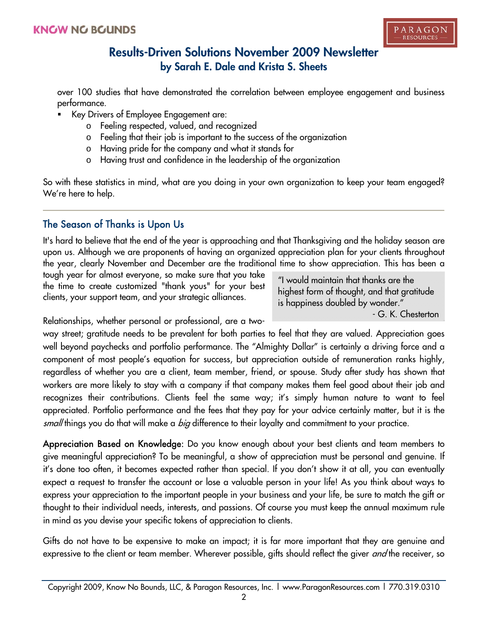over 100 studies that have demonstrated the correlation between employee engagement and business performance.

- Key Drivers of Employee Engagement are:
	- o Feeling respected, valued, and recognized
	- o Feeling that their job is important to the success of the organization
	- o Having pride for the company and what it stands for
	- o Having trust and confidence in the leadership of the organization

So with these statistics in mind, what are you doing in your own organization to keep your team engaged? We're here to help.

## The Season of Thanks is Upon Us

It's hard to believe that the end of the year is approaching and that Thanksgiving and the holiday season are upon us. Although we are proponents of having an organized appreciation plan for your clients throughout the year, clearly November and December are the traditional time to show appreciation. This has been a

tough year for almost everyone, so make sure that you take the time to create customized "thank yous" for your best clients, your support team, and your strategic alliances.

"I would maintain that thanks are the highest form of thought, and that gratitude is happiness doubled by wonder." - G. K. Chesterton

Relationships, whether personal or professional, are a two-

way street; gratitude needs to be prevalent for both parties to feel that they are valued. Appreciation goes well beyond paychecks and portfolio performance. The "Almighty Dollar" is certainly a driving force and a component of most people's equation for success, but appreciation outside of remuneration ranks highly, regardless of whether you are a client, team member, friend, or spouse. Study after study has shown that workers are more likely to stay with a company if that company makes them feel good about their job and recognizes their contributions. Clients feel the same way; it's simply human nature to want to feel appreciated. Portfolio performance and the fees that they pay for your advice certainly matter, but it is the small things you do that will make a *big* difference to their loyalty and commitment to your practice.

Appreciation Based on Knowledge: Do you know enough about your best clients and team members to give meaningful appreciation? To be meaningful, a show of appreciation must be personal and genuine. If it's done too often, it becomes expected rather than special. If you don't show it at all, you can eventually expect a request to transfer the account or lose a valuable person in your life! As you think about ways to express your appreciation to the important people in your business and your life, be sure to match the gift or thought to their individual needs, interests, and passions. Of course you must keep the annual maximum rule in mind as you devise your specific tokens of appreciation to clients.

Gifts do not have to be expensive to make an impact; it is far more important that they are genuine and expressive to the client or team member. Wherever possible, gifts should reflect the giver and the receiver, so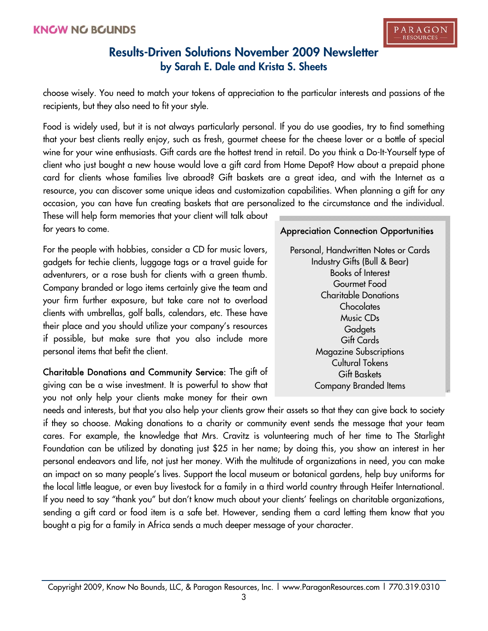choose wisely. You need to match your tokens of appreciation to the particular interests and passions of the recipients, but they also need to fit your style.

Food is widely used, but it is not always particularly personal. If you do use goodies, try to find something that your best clients really enjoy, such as fresh, gourmet cheese for the cheese lover or a bottle of special wine for your wine enthusiasts. Gift cards are the hottest trend in retail. Do you think a Do-It-Yourself type of client who just bought a new house would love a gift card from Home Depot? How about a prepaid phone card for clients whose families live abroad? Gift baskets are a great idea, and with the Internet as a resource, you can discover some unique ideas and customization capabilities. When planning a gift for any occasion, you can have fun creating baskets that are personalized to the circumstance and the individual.

These will help form memories that your client will talk about for years to come.

For the people with hobbies, consider a CD for music lovers, gadgets for techie clients, luggage tags or a travel guide for adventurers, or a rose bush for clients with a green thumb. Company branded or logo items certainly give the team and your firm further exposure, but take care not to overload clients with umbrellas, golf balls, calendars, etc. These have their place and you should utilize your company's resources if possible, but make sure that you also include more personal items that befit the client.

Charitable Donations and Community Service: The gift of giving can be a wise investment. It is powerful to show that you not only help your clients make money for their own

### Appreciation Connection Opportunities

Personal, Handwritten Notes or Cards Industry Gifts (Bull & Bear) Books of Interest Gourmet Food Charitable Donations **Chocolates** Music CDs **Gadgets** Gift Cards Magazine Subscriptions Cultural Tokens Gift Baskets Company Branded Items

needs and interests, but that you also help your clients grow their assets so that they can give back to society if they so choose. Making donations to a charity or community event sends the message that your team cares. For example, the knowledge that Mrs. Cravitz is volunteering much of her time to The Starlight Foundation can be utilized by donating just \$25 in her name; by doing this, you show an interest in her personal endeavors and life, not just her money. With the multitude of organizations in need, you can make an impact on so many people's lives. Support the local museum or botanical gardens, help buy uniforms for the local little league, or even buy livestock for a family in a third world country through Heifer International. If you need to say "thank you" but don't know much about your clients' feelings on charitable organizations, sending a gift card or food item is a safe bet. However, sending them a card letting them know that you bought a pig for a family in Africa sends a much deeper message of your character.

Copyright 2009, Know No Bounds, LLC, & Paragon Resources, Inc. | www.ParagonResources.com | 770.319.0310